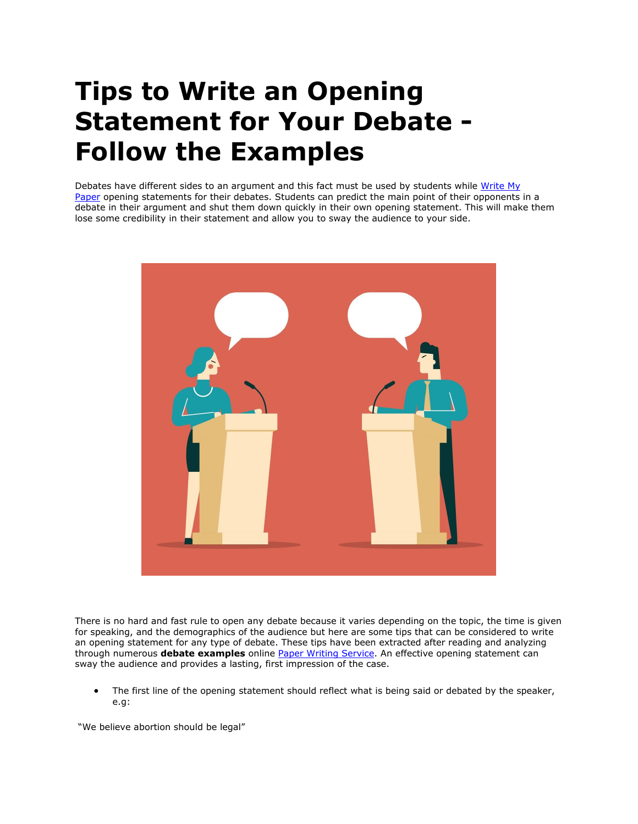## **Tips to Write an Opening Statement for Your Debate - Follow the Examples**

Debates have different sides to an argument and this fact must be used by students while Write My [Paper](https://www.myperfectpaper.net/) opening statements for their debates. Students can predict the main point of their opponents in a debate in their argument and shut them down quickly in their own opening statement. This will make them lose some credibility in their statement and allow you to sway the audience to your side.



There is no hard and fast rule to open any debate because it varies depending on the topic, the time is given for speaking, and the demographics of the audience but here are some tips that can be considered to write an opening statement for any type of debate. These tips have been extracted after reading and analyzing through numerous **debate examples** online [Paper Writing Service.](https://www.myperfectpaper.net/) An effective opening statement can sway the audience and provides a lasting, first impression of the case.

• The first line of the opening statement should reflect what is being said or debated by the speaker, e.g:

"We believe abortion should be legal"